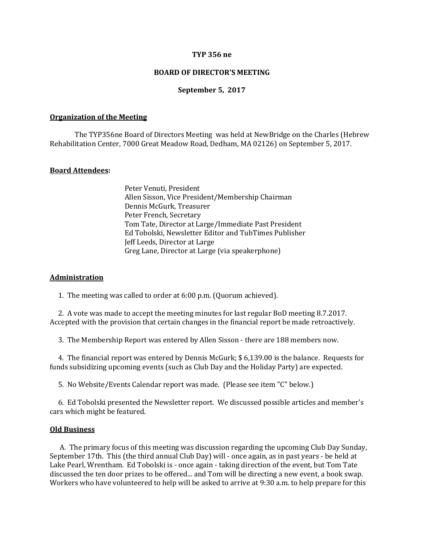### **TYP 356 ne**

## **BOARD OF DIRECTOR'S MEETING**

### **September 5, 2017**

#### **Organization of the Meeting**

The TYP356ne Board of Directors Meeting was held at NewBridge on the Charles (Hebrew Rehabilitation Center, 7000 Great Meadow Road, Dedham, MA 02126) on September 5, 2017.

### **Board Attendees:**

Peter Venuti, President Allen Sisson, Vice President/Membership Chairman Dennis McGurk, Treasurer Peter French, Secretary Tom Tate, Director at Large/Immediate Past President Ed Tobolski, Newsletter Editor and TubTimes Publisher Jeff Leeds, Director at Large Greg Lane, Director at Large (via speakerphone)

#### **Administration**

1. The meeting was called to order at 6:00 p.m. (Quorum achieved).

 2. A vote was made to accept the meeting minutes for last regular BoD meeting 8.7.2017. Accepted with the provision that certain changes in the financial report be made retroactively.

3. The Membership Report was entered by Allen Sisson - there are 188 members now.

 4. The financial report was entered by Dennis McGurk; \$ 6,139.00 is the balance. Requests for funds subsidizing upcoming events (such as Club Day and the Holiday Party) are expected.

5. No Website/Events Calendar report was made. (Please see item "C" below.)

 6. Ed Tobolski presented the Newsletter report. We discussed possible articles and member's cars which might be featured.

#### **Old Business**

 A. The primary focus of this meeting was discussion regarding the upcoming Club Day Sunday, September 17th. This (the third annual Club Day) will - once again, as in past years - be held at Lake Pearl, Wrentham. Ed Tobolski is - once again - taking direction of the event, but Tom Tate discussed the ten door prizes to be offered... and Tom will be directing a new event, a book swap. Workers who have volunteered to help will be asked to arrive at 9:30 a.m. to help prepare for this